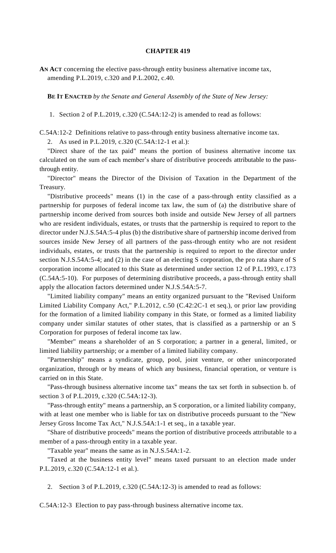## **CHAPTER 419**

**AN ACT** concerning the elective pass-through entity business alternative income tax, amending P.L.2019, c.320 and P.L.2002, c.40.

**BE IT ENACTED** *by the Senate and General Assembly of the State of New Jersey:*

1. Section 2 of P.L.2019, c.320 (C.54A:12-2) is amended to read as follows:

C.54A:12-2 Definitions relative to pass-through entity business alternative income tax.

2. As used in P.L.2019, c.320 (C.54A:12-1 et al.):

"Direct share of the tax paid" means the portion of business alternative income tax calculated on the sum of each member's share of distributive proceeds attributable to the passthrough entity.

"Director" means the Director of the Division of Taxation in the Department of the Treasury.

"Distributive proceeds" means (1) in the case of a pass-through entity classified as a partnership for purposes of federal income tax law, the sum of (a) the distributive share of partnership income derived from sources both inside and outside New Jersey of all partners who are resident individuals, estates, or trusts that the partnership is required to report to the director under N.J.S.54A:5-4 plus (b) the distributive share of partnership income derived from sources inside New Jersey of all partners of the pass-through entity who are not resident individuals, estates, or trusts that the partnership is required to report to the director under section N.J.S.54A:5-4; and (2) in the case of an electing S corporation, the pro rata share of S corporation income allocated to this State as determined under section 12 of P.L.1993, c.173 (C.54A:5-10). For purposes of determining distributive proceeds, a pass-through entity shall apply the allocation factors determined under N.J.S.54A:5-7.

"Limited liability company" means an entity organized pursuant to the "Revised Uniform Limited Liability Company Act," P.L.2012, c.50 (C.42:2C-1 et seq.), or prior law providing for the formation of a limited liability company in this State, or formed as a limited liability company under similar statutes of other states, that is classified as a partnership or an S Corporation for purposes of federal income tax law.

"Member" means a shareholder of an S corporation; a partner in a general, limited, or limited liability partnership; or a member of a limited liability company.

"Partnership" means a syndicate, group, pool, joint venture, or other unincorporated organization, through or by means of which any business, financial operation, or venture is carried on in this State.

"Pass-through business alternative income tax" means the tax set forth in subsection b. of section 3 of P.L.2019, c.320 (C.54A:12-3).

"Pass-through entity" means a partnership, an S corporation, or a limited liability company, with at least one member who is liable for tax on distributive proceeds pursuant to the "New Jersey Gross Income Tax Act," N.J.S.54A:1-1 et seq., in a taxable year.

"Share of distributive proceeds" means the portion of distributive proceeds attributable to a member of a pass-through entity in a taxable year.

"Taxable year" means the same as in N.J.S.54A:1-2.

"Taxed at the business entity level" means taxed pursuant to an election made under P.L.2019, c.320 (C.54A:12-1 et al.).

2. Section 3 of P.L.2019, c.320 (C.54A:12-3) is amended to read as follows:

C.54A:12-3 Election to pay pass-through business alternative income tax.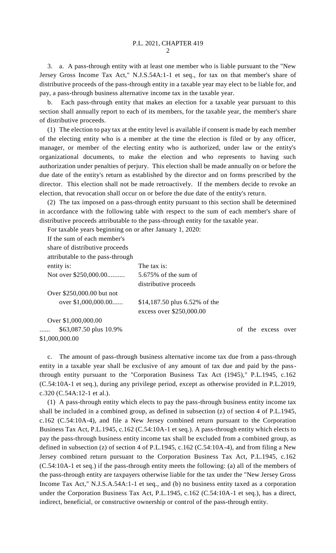3. a. A pass-through entity with at least one member who is liable pursuant to the "New Jersey Gross Income Tax Act," N.J.S.54A:1-1 et seq., for tax on that member's share of distributive proceeds of the pass-through entity in a taxable year may elect to be liable for, and pay, a pass-through business alternative income tax in the taxable year.

b. Each pass-through entity that makes an election for a taxable year pursuant to this section shall annually report to each of its members, for the taxable year, the member's share of distributive proceeds.

(1) The election to pay tax at the entity level is available if consent is made by each member of the electing entity who is a member at the time the election is filed or by any officer, manager, or member of the electing entity who is authorized, under law or the entity's organizational documents, to make the election and who represents to having such authorization under penalties of perjury. This election shall be made annually on or before the due date of the entity's return as established by the director and on forms prescribed by the director. This election shall not be made retroactively. If the members decide to revoke an election, that revocation shall occur on or before the due date of the entity's return.

(2) The tax imposed on a pass-through entity pursuant to this section shall be determined in accordance with the following table with respect to the sum of each member's share of distributive proceeds attributable to the pass-through entity for the taxable year.

For taxable years beginning on or after January 1, 2020:

If the sum of each member's share of distributive proceeds attributable to the pass-through entity is: The tax is: Not over \$250,000.00.......... 5.675% of the sum of distributive proceeds Over \$250,000.00 but not over \$1,000,000.00...... \$14,187.50 plus 6.52% of the excess over \$250,000.00 Over \$1,000,000.00 ...... \$63,087.50 plus 10.9% \$1,000,000.00

c. The amount of pass-through business alternative income tax due from a pass-through entity in a taxable year shall be exclusive of any amount of tax due and paid by the passthrough entity pursuant to the "Corporation Business Tax Act (1945)," P.L.1945, c.162 (C.54:10A-1 et seq.), during any privilege period, except as otherwise provided in P.L.2019, c.320 (C.54A:12-1 et al.).

(1) A pass-through entity which elects to pay the pass-through business entity income tax shall be included in a combined group, as defined in subsection (z) of section 4 of P.L.1945, c.162 (C.54:10A-4), and file a New Jersey combined return pursuant to the Corporation Business Tax Act, P.L.1945, c.162 (C.54:10A-1 et seq.). A pass-through entity which elects to pay the pass-through business entity income tax shall be excluded from a combined group, as defined in subsection (z) of section 4 of P.L.1945, c.162 (C.54:10A-4), and from filing a New Jersey combined return pursuant to the Corporation Business Tax Act, P.L.1945, c.162 (C.54:10A-1 et seq.) if the pass-through entity meets the following: (a) all of the members of the pass-through entity are taxpayers otherwise liable for the tax under the "New Jersey Gross Income Tax Act," N.J.S.A.54A:1-1 et seq., and (b) no business entity taxed as a corporation under the Corporation Business Tax Act, P.L.1945, c.162 (C.54:10A-1 et seq.), has a direct, indirect, beneficial, or constructive ownership or control of the pass-through entity.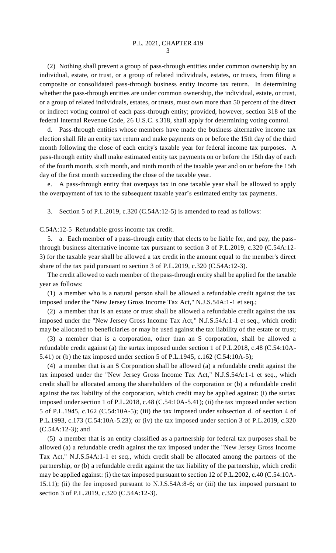(2) Nothing shall prevent a group of pass-through entities under common ownership by an individual, estate, or trust, or a group of related individuals, estates, or trusts, from filing a composite or consolidated pass-through business entity income tax return. In determining whether the pass-through entities are under common ownership, the individual, estate, or trust, or a group of related individuals, estates, or trusts, must own more than 50 percent of the direct or indirect voting control of each pass-through entity; provided, however, section 318 of the federal Internal Revenue Code, 26 U.S.C. s.318, shall apply for determining voting control.

d. Pass-through entities whose members have made the business alternative income tax election shall file an entity tax return and make payments on or before the 15th day of the third month following the close of each entity's taxable year for federal income tax purposes. A pass-through entity shall make estimated entity tax payments on or before the 15th day of each of the fourth month, sixth month, and ninth month of the taxable year and on or before the 15th day of the first month succeeding the close of the taxable year.

e. A pass-through entity that overpays tax in one taxable year shall be allowed to apply the overpayment of tax to the subsequent taxable year's estimated entity tax payments.

3. Section 5 of P.L.2019, c.320 (C.54A:12-5) is amended to read as follows:

C.54A:12-5 Refundable gross income tax credit.

5. a. Each member of a pass-through entity that elects to be liable for, and pay, the passthrough business alternative income tax pursuant to section 3 of P.L.2019, c.320 (C.54A:12- 3) for the taxable year shall be allowed a tax credit in the amount equal to the member's direct share of the tax paid pursuant to section 3 of P.L.2019, c.320 (C.54A:12-3).

The credit allowed to each member of the pass-through entity shall be applied for the taxable year as follows:

(1) a member who is a natural person shall be allowed a refundable credit against the tax imposed under the "New Jersey Gross Income Tax Act," N.J.S.54A:1-1 et seq.;

(2) a member that is an estate or trust shall be allowed a refundable credit against the tax imposed under the "New Jersey Gross Income Tax Act," N.J.S.54A:1-1 et seq., which credit may be allocated to beneficiaries or may be used against the tax liability of the estate or trust;

(3) a member that is a corporation, other than an S corporation, shall be allowed a refundable credit against (a) the surtax imposed under section 1 of P.L.2018, c.48 (C.54:10A-5.41) or (b) the tax imposed under section 5 of P.L.1945, c.162 (C.54:10A-5);

(4) a member that is an S Corporation shall be allowed (a) a refundable credit against the tax imposed under the "New Jersey Gross Income Tax Act," N.J.S.54A:1-1 et seq., which credit shall be allocated among the shareholders of the corporation or (b) a refundable credit against the tax liability of the corporation, which credit may be applied against: (i) the surtax imposed under section 1 of P.L.2018, c.48 (C.54:10A-5.41); (ii) the tax imposed under section 5 of P.L.1945, c.162 (C.54:10A-5); (iii) the tax imposed under subsection d. of section 4 of P.L.1993, c.173 (C.54:10A-5.23); or (iv) the tax imposed under section 3 of P.L.2019, c.320 (C.54A:12-3); and

(5) a member that is an entity classified as a partnership for federal tax purposes shall be allowed (a) a refundable credit against the tax imposed under the "New Jersey Gross Income Tax Act," N.J.S.54A:1-1 et seq., which credit shall be allocated among the partners of the partnership, or (b) a refundable credit against the tax liability of the partnership, which credit may be applied against: (i) the tax imposed pursuant to section 12 of P.L.2002, c.40 (C.54:10A-15.11); (ii) the fee imposed pursuant to N.J.S.54A:8-6; or (iii) the tax imposed pursuant to section 3 of P.L.2019, c.320 (C.54A:12-3).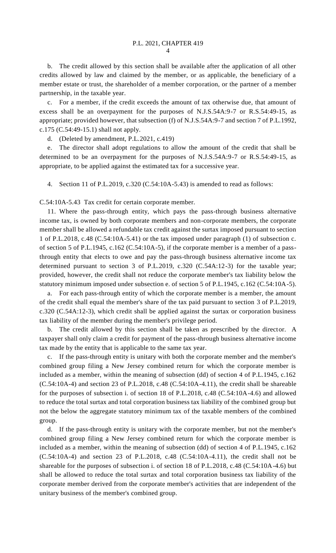b. The credit allowed by this section shall be available after the application of all other credits allowed by law and claimed by the member, or as applicable, the beneficiary of a member estate or trust, the shareholder of a member corporation, or the partner of a member partnership, in the taxable year.

c. For a member, if the credit exceeds the amount of tax otherwise due, that amount of excess shall be an overpayment for the purposes of N.J.S.54A:9-7 or R.S.54:49-15, as appropriate; provided however, that subsection (f) of N.J.S.54A:9-7 and section 7 of P.L.1992, c.175 (C.54:49-15.1) shall not apply.

d. (Deleted by amendment, P.L.2021, c.419)

e. The director shall adopt regulations to allow the amount of the credit that shall be determined to be an overpayment for the purposes of N.J.S.54A:9-7 or R.S.54:49-15, as appropriate, to be applied against the estimated tax for a successive year.

4. Section 11 of P.L.2019, c.320 (C.54:10A-5.43) is amended to read as follows:

C.54:10A-5.43 Tax credit for certain corporate member.

11. Where the pass-through entity, which pays the pass-through business alternative income tax, is owned by both corporate members and non-corporate members, the corporate member shall be allowed a refundable tax credit against the surtax imposed pursuant to section 1 of P.L.2018, c.48 (C.54:10A-5.41) or the tax imposed under paragraph (1) of subsection c. of section 5 of P.L.1945, c.162 (C.54:10A-5), if the corporate member is a member of a passthrough entity that elects to owe and pay the pass-through business alternative income tax determined pursuant to section 3 of P.L.2019, c.320 (C.54A:12-3) for the taxable year; provided, however, the credit shall not reduce the corporate member's tax liability below the statutory minimum imposed under subsection e. of section 5 of P.L.1945, c.162 (C.54:10A-5).

a. For each pass-through entity of which the corporate member is a member, the amount of the credit shall equal the member's share of the tax paid pursuant to section 3 of P.L.2019, c.320 (C.54A:12-3), which credit shall be applied against the surtax or corporation business tax liability of the member during the member's privilege period.

b. The credit allowed by this section shall be taken as prescribed by the director. A taxpayer shall only claim a credit for payment of the pass-through business alternative income tax made by the entity that is applicable to the same tax year.

c. If the pass-through entity is unitary with both the corporate member and the member's combined group filing a New Jersey combined return for which the corporate member is included as a member, within the meaning of subsection (dd) of section 4 of P.L.1945, c.162 (C.54:10A-4) and section 23 of P.L.2018, c.48 (C.54:10A-4.11), the credit shall be shareable for the purposes of subsection i. of section 18 of P.L.2018, c.48 (C.54:10A-4.6) and allowed to reduce the total surtax and total corporation business tax liability of the combined group but not the below the aggregate statutory minimum tax of the taxable members of the combined group.

d. If the pass-through entity is unitary with the corporate member, but not the member's combined group filing a New Jersey combined return for which the corporate member is included as a member, within the meaning of subsection (dd) of section 4 of P.L.1945, c.162 (C.54:10A-4) and section 23 of P.L.2018, c.48 (C.54:10A-4.11), the credit shall not be shareable for the purposes of subsection i. of section 18 of P.L.2018, c.48 (C.54:10A-4.6) but shall be allowed to reduce the total surtax and total corporation business tax liability of the corporate member derived from the corporate member's activities that are independent of the unitary business of the member's combined group.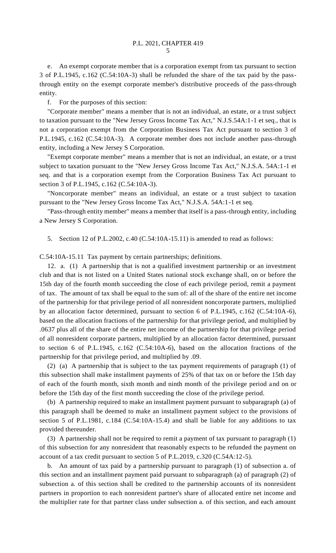e. An exempt corporate member that is a corporation exempt from tax pursuant to section 3 of P.L.1945, c.162 (C.54:10A-3) shall be refunded the share of the tax paid by the passthrough entity on the exempt corporate member's distributive proceeds of the pass-through entity.

f. For the purposes of this section:

"Corporate member" means a member that is not an individual, an estate, or a trust subject to taxation pursuant to the "New Jersey Gross Income Tax Act," N.J.S.54A:1-1 et seq., that is not a corporation exempt from the Corporation Business Tax Act pursuant to section 3 of P.L.1945, c.162 (C.54:10A-3). A corporate member does not include another pass-through entity, including a New Jersey S Corporation.

"Exempt corporate member" means a member that is not an individual, an estate, or a trust subject to taxation pursuant to the "New Jersey Gross Income Tax Act," N.J.S.A. 54A:1-1 et seq. and that is a corporation exempt from the Corporation Business Tax Act pursuant to section 3 of P.L.1945, c.162 (C.54:10A-3).

"Noncorporate member" means an individual, an estate or a trust subject to taxation pursuant to the "New Jersey Gross Income Tax Act," N.J.S.A. 54A:1-1 et seq.

"Pass-through entity member" means a member that itself is a pass-through entity, including a New Jersey S Corporation.

5. Section 12 of P.L.2002, c.40 (C.54:10A-15.11) is amended to read as follows:

C.54:10A-15.11 Tax payment by certain partnerships; definitions.

12. a. (1) A partnership that is not a qualified investment partnership or an investment club and that is not listed on a United States national stock exchange shall, on or before the 15th day of the fourth month succeeding the close of each privilege period, remit a payment of tax. The amount of tax shall be equal to the sum of: all of the share of the entire net income of the partnership for that privilege period of all nonresident noncorporate partners, multiplied by an allocation factor determined, pursuant to section 6 of P.L.1945, c.162 (C.54:10A-6), based on the allocation fractions of the partnership for that privilege period, and multiplied by .0637 plus all of the share of the entire net income of the partnership for that privilege period of all nonresident corporate partners, multiplied by an allocation factor determined, pursuant to section 6 of P.L.1945, c.162 (C.54:10A-6), based on the allocation fractions of the partnership for that privilege period, and multiplied by .09.

(2) (a) A partnership that is subject to the tax payment requirements of paragraph (1) of this subsection shall make installment payments of 25% of that tax on or before the 15th day of each of the fourth month, sixth month and ninth month of the privilege period and on or before the 15th day of the first month succeeding the close of the privilege period.

(b) A partnership required to make an installment payment pursuant to subparagraph (a) of this paragraph shall be deemed to make an installment payment subject to the provisions of section 5 of P.L.1981, c.184 (C.54:10A-15.4) and shall be liable for any additions to tax provided thereunder.

(3) A partnership shall not be required to remit a payment of tax pursuant to paragraph (1) of this subsection for any nonresident that reasonably expects to be refunded the payment on account of a tax credit pursuant to section 5 of P.L.2019, c.320 (C.54A:12-5).

b. An amount of tax paid by a partnership pursuant to paragraph (1) of subsection a. of this section and an installment payment paid pursuant to subparagraph (a) of paragraph (2) of subsection a. of this section shall be credited to the partnership accounts of its nonresident partners in proportion to each nonresident partner's share of allocated entire net income and the multiplier rate for that partner class under subsection a. of this section, and each amount